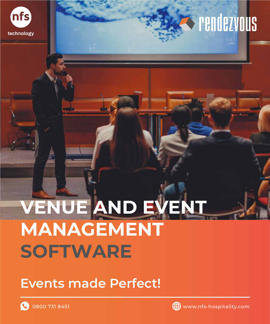

# **Synchetypus**

# **VENUE AND EVENT MANAGEMENT SOFTWARE**

#### **Events made Perfect!**

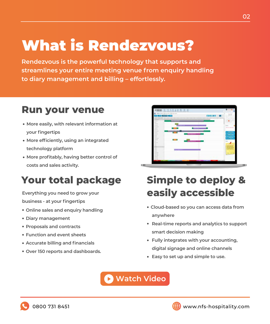## What is Rendezvous?

**Rendezvous is the powerful technology that supports and streamlines your entire meeting venue from enquiry handling to diary management and billing – effortlessly.**

#### **Run your venue**

- **More easily, with relevant information at your fingertips**
- **More efficiently, using an integrated technology platform**
- **More profitably, having better control of costs and sales activity.**

#### **Your total package**

**Everything you need to grow your**

**business - at your fingertips**

- **Online sales and enquiry handling**
- **Diary management**
- **Proposals and contracts**
- **Function and event sheets**
- **Accurate billing and financials**
- **Over 150 reports and dashboards.**



#### **Simple to deploy & easily accessible**

- **Cloud-based so you can access data from anywhere**
- **Real-time reports and analytics to support smart decision making**
- **Fully integrates with your accounting, digital signage and online channels**
- **Easy to set up and simple to use.**

**[Watch Video](https://www.nfs-hospitality.com/our-videos/?wvideo=dglgd0llpm)**



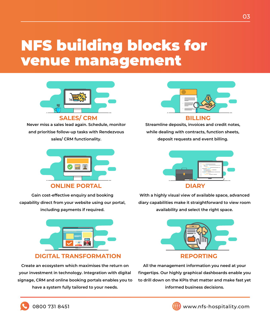### NFS building blocks for venue management



**Never miss a sales lead again. Schedule, monitor and prioritise follow-up tasks with Rendezvous sales/ CRM functionality.**



**ONLINE PORTAL DIARY** 

**Gain cost-effective enquiry and booking capability direct from your website using our portal, including payments if required.**



#### **DIGITAL TRANSFORMATION REPORTING**

**Create an ecosystem which maximises the return on your investment in technology. Integration with digital signage, CRM and online booking portals enables you to have a system fully tailored to your needs.** 



**Streamline deposits, invoices and credit notes, while dealing with contracts, function sheets, deposit requests and event billing.**



**With a highly visual view of available space, advanced diary capabilities make it straightforward to view room availability and select the right space.**



**All the management information you need at your fingertips. Our highly graphical dashboards enable you to drill down on the KPIs that matter and make fast yet informed business decisions.**

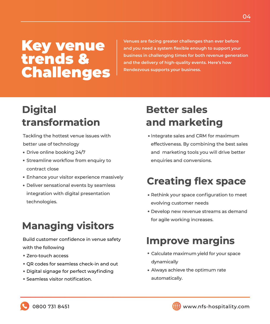#### Key venue trends & Challenges

**Venues are facing greater challenges than ever before and you need a system flexible enough to support your business in challenging times for both revenue generation and the delivery of high-quality events. Here's how Rendezvous supports your business.**

#### **Digital transformation**

Tackling the hottest venue issues with better use of technology

- Drive online booking 24/7
- **Streamline workflow from enquiry to** contract close
- Enhance your visitor experience massively
- Deliver sensational events by seamless integration with digital presentation technologies.

#### **Managing visitors**

Build customer confidence in venue safety with the following

- Zero-touch access
- QR codes for seamless check-in and out
- Digital signage for perfect wayfinding
- Seamless visitor notification.

#### **Better sales and marketing**

• Integrate sales and CRM for maximum effectiveness. By combining the best sales and marketing tools you will drive better enquiries and conversions.

#### **Creating flex space**

- Rethink your space configuration to meet evolving customer needs
- Develop new revenue streams as demand for agile working increases.

#### **Improve margins**

- Calculate maximum yield for your space dynamically
- Always achieve the optimum rate automatically.



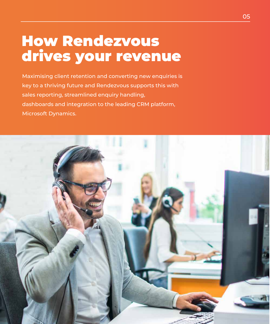#### How Rendezvous drives your revenue

Maximising client retention and converting new enquiries is key to a thriving future and Rendezvous supports this with sales reporting, streamlined enquiry handling, dashboards and integration to the leading CRM platform, Microsoft Dynamics.

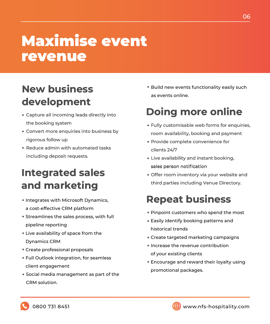### Maximise event revenue

#### **New business development**

- the booking system • Capture all incoming leads directly into
- Convert more enquiries into business by rigorous follow up
- Reduce admin with automated tasks including deposit requests.

#### **Integrated sales and marketing**

- Integrates with Microsoft Dynamics, a cost-effective CRM platform
- Streamlines the sales process, with full pipeline reporting
- Live availability of space from the Dynamics CRM
- Create professional proposals
- Full Outlook integration, for seamless client engagement
- Social media management as part of the CRM solution.

• Build new events functionality easily such as events online.

#### **Doing more online**

- Fully customisable web forms for enquiries, room availability, booking and payment
- Provide complete convenience for clients 24/7
- Live availability and instant booking, sales person notification
- Offer room inventory via your website and third parties including Venue Directory.

#### **Repeat business**

- Pinpoint customers who spend the most
- Easily identify booking patterns and historical trends
- Create targeted marketing campaigns
- Increase the revenue contribution of your existing clients
- Encourage and reward their loyalty using promotional packages.



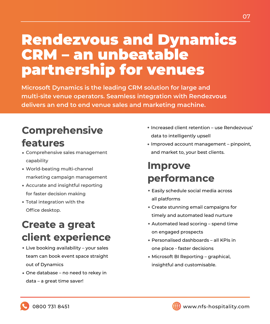#### Rendezvous and Dynamics CRM – an unbeatable partnership for venues

**Microsoft Dynamics is the leading CRM solution for large and multi-site venue operators. Seamless integration with Rendezvous delivers an end to end venue sales and marketing machine.**

#### **Comprehensive**

#### **features**

- Comprehensive sales management capability
- World-beating multi-channel marketing campaign management
- Accurate and insightful reporting for faster decision making
- Total integration with the Office desktop.

#### **Create a great client experience**

- Live booking availability your sales team can book event space straight out of Dynamics
- One database no need to rekey in data – a great time saver!
- Increased client retention use Rendezvous' data to intelligently upsell
- Improved account management pinpoint, and market to, your best clients.

#### **Improve performance**

- Easily schedule social media across all platforms
- Create stunning email campaigns for timely and automated lead nurture
- Automated lead scoring spend time on engaged prospects
- Personalised dashboards all KPIs in one place - faster decisions
- Microsoft BI Reporting graphical, insightful and customisable.

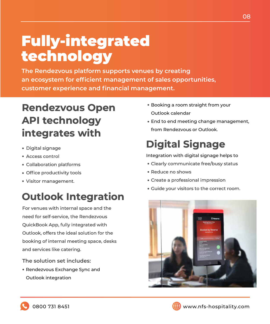## Fully-integrated technology

**The Rendezvous platform supports venues by creating an ecosystem for efficient management of sales opportunities, customer experience and financial management.**

#### **Rendezvous Open API technology integrates with**

- Digital signage
- Access control
- Collaboration platforms
- Office productivity tools
- Visitor management.

# **Outlook Integration** • Digital signage<br>
• Access control<br>
• Collaboration platforms<br>
• Collaboration platforms<br>
• Clearly communicate free/busy s<br>
• Clearly communicate free/busy s<br>
• Reduce no shows<br>
• Cuide your visitors to the correct<br> **Out**

For venues with internal space and the need for self-service, the Rendezvous QuickBook App, fully integrated with Outlook, offers the ideal solution for the booking of internal meeting space, desks and services like catering.

**The solution set includes:**

Rendezvous Exchange Sync and Outlook integration

- Booking a room straight from your Outlook calendar
- End to end meeting change management, from Rendezvous or Outlook.

Integration with digital signage helps to

- Clearly communicate free/busy status
- Reduce no shows
- Create a professional impression
- Guide your visitors to the correct room.



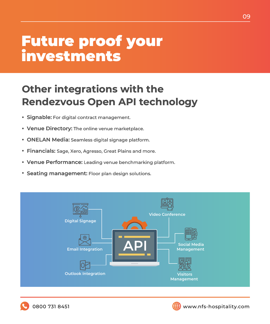#### Future proof your investments

#### **Other integrations with the Rendezvous Open API technology**

- **Signable:** For digital contract management.
- **Venue Directory:** The online venue marketplace.
- **ONELAN Media:** Seamless digital signage platform.
- **Financials:** Sage, Xero, Agresso, Great Plains and more.
- **Venue Performance:** Leading venue benchmarking platform.
- **Seating management:** Floor plan design solutions.





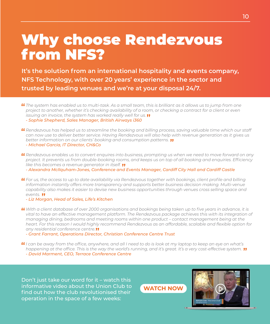#### Why choose Rendezvous from NFS?

**It's the solution from an international hospitality and events company, NFS Technology, with over 20 years' experience in the sector and trusted by leading venues and we're at your disposal 24/7.**

*The system has enabled us to multi-task. As a small team, this is brilliant as it allows us to jump from one project to another, whether it's checking availability of a room, or checking a contract for a client or even issuing an invoice, the system has worked really well for us.*

*- Sophie Shepherd, Sales Manager, British Airways i360*

- *Rendezvous has helped us to streamline the booking and billing process, saving valuable time which our staff can now use to deliver better service. Having Rendezvous will also help with revenue generation as it gives us better information on our clients' booking and consumption patterns. - Michael Garcia, IT Director, CH&Co*
- *Rendezvous enables us to convert enquires into business, prompting us when we need to move forward on any project. It prevents us from double-booking rooms, and keeps us on top of all booking and enquiries. Efficiency like this becomes a revenue generator in itself.*

*- Alexandra McIlquham-Jones, Conference and Events Manager, Cardiff City Hall and Cardiff Castle*

*For us, the access to up to date availability via Rendezvous together with bookings, client profile and billing information instantly offers more transparency and supports better business decision making. Multi-venue capability also makes it easier to devise new business opportunities through venues cross selling space and events.*

*- Liz Morgan, Head of Sales, Life's Kitchen*

- *With a client database of over 2000 organisations and bookings being taken up to five years in advance, it is vital to have an effective management platform. The Rendezvous package achieves this with its integration of managing dining, bedrooms and meeting rooms within one product – contact management being at the heart. For this reason I would highly recommend Rendezvous as an affordable, scalable and flexible option for any residential conference centre.*
	- *Grant Farrant, Operations Director, Christian Conference Centre Trust*
- *I can be away from the office, anywhere, and all I need to do is look at my laptop to keep an eye on what's happening at the office. This is the way the world's running, and it's great. It's a very cost-effective system.*

*- David Marment, CEO, Terrace Conference Centre*

Don't just take our word for it – watch this informative video about the Union Club to find out how the club revolutionised their operation in the space of a few weeks: